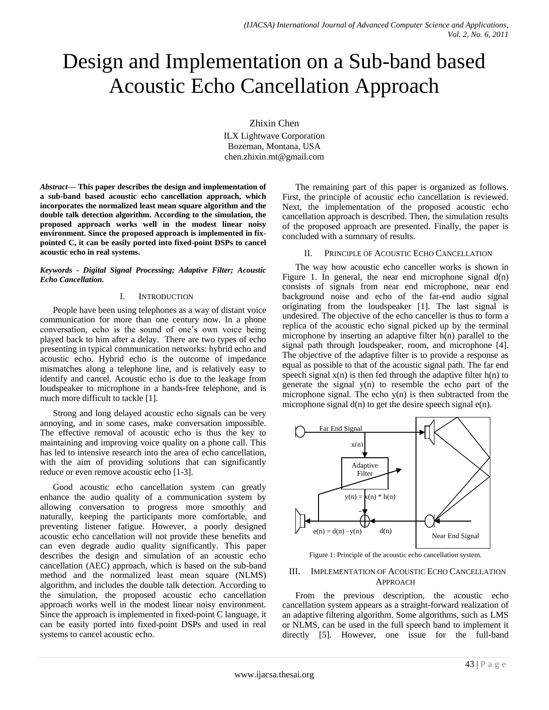# Design and Implementation on a Sub-band based Acoustic Echo Cancellation Approach

Zhixin Chen

ILX Lightwave Corporation Bozeman, Montana, USA chen.zhixin.mt@gmail.com

*Abstract***— This paper describes the design and implementation of a sub-band based acoustic echo cancellation approach, which incorporates the normalized least mean square algorithm and the double talk detection algorithm. According to the simulation, the proposed approach works well in the modest linear noisy environment. Since the proposed approach is implemented in fixpointed C, it can be easily ported into fixed-point DSPs to cancel acoustic echo in real systems.**

## *Keywords - Digital Signal Processing; Adaptive Filter; Acoustic Echo Cancellation.*

# I. INTRODUCTION

People have been using telephones as a way of distant voice communication for more than one century now. In a phone conversation, echo is the sound of one's own voice being played back to him after a delay. There are two types of echo presenting in typical communication networks: hybrid echo and acoustic echo. Hybrid echo is the outcome of impedance mismatches along a telephone line, and is relatively easy to identify and cancel. Acoustic echo is due to the leakage from loudspeaker to microphone in a hands-free telephone, and is much more difficult to tackle [1].

Strong and long delayed acoustic echo signals can be very annoying, and in some cases, make conversation impossible. The effective removal of acoustic echo is thus the key to maintaining and improving voice quality on a phone call. This has led to intensive research into the area of echo cancellation, with the aim of providing solutions that can significantly reduce or even remove acoustic echo [1-3].

Good acoustic echo cancellation system can greatly enhance the audio quality of a communication system by allowing conversation to progress more smoothly and naturally, keeping the participants more comfortable, and preventing listener fatigue. However, a poorly designed acoustic echo cancellation will not provide these benefits and can even degrade audio quality significantly. This paper describes the design and simulation of an acoustic echo cancellation (AEC) approach, which is based on the sub-band method and the normalized least mean square (NLMS) algorithm, and includes the double talk detection. According to the simulation, the proposed acoustic echo cancellation approach works well in the modest linear noisy environment. Since the approach is implemented in fixed-point C language, it can be easily ported into fixed-point DSPs and used in real systems to cancel acoustic echo.

The remaining part of this paper is organized as follows. First, the principle of acoustic echo cancellation is reviewed. Next, the implementation of the proposed acoustic echo cancellation approach is described. Then, the simulation results of the proposed approach are presented. Finally, the paper is concluded with a summary of results.

# II. PRINCIPLE OF ACOUSTIC ECHO CANCELLATION

The way how acoustic echo canceller works is shown in Figure 1. In general, the near end microphone signal  $d(n)$ consists of signals from near end microphone, near end background noise and echo of the far-end audio signal originating from the loudspeaker [1]. The last signal is undesired. The objective of the echo canceller is thus to form a replica of the acoustic echo signal picked up by the terminal microphone by inserting an adaptive filter h(n) parallel to the signal path through loudspeaker, room, and microphone [4]. The objective of the adaptive filter is to provide a response as equal as possible to that of the acoustic signal path. The far end speech signal  $x(n)$  is then fed through the adaptive filter  $h(n)$  to generate the signal y(n) to resemble the echo part of the microphone signal. The echo  $y(n)$  is then subtracted from the microphone signal  $d(n)$  to get the desire speech signal  $e(n)$ .



Figure 1: Principle of the acoustic echo cancellation system.

# III. IMPLEMENTATION OF ACOUSTIC ECHO CANCELLATION APPROACH

From the previous description, the acoustic echo cancellation system appears as a straight-forward realization of an adaptive filtering algorithm. Some algorithms, such as LMS or NLMS, can be used in the full speech band to implement it directly [5]. However, one issue for the full-band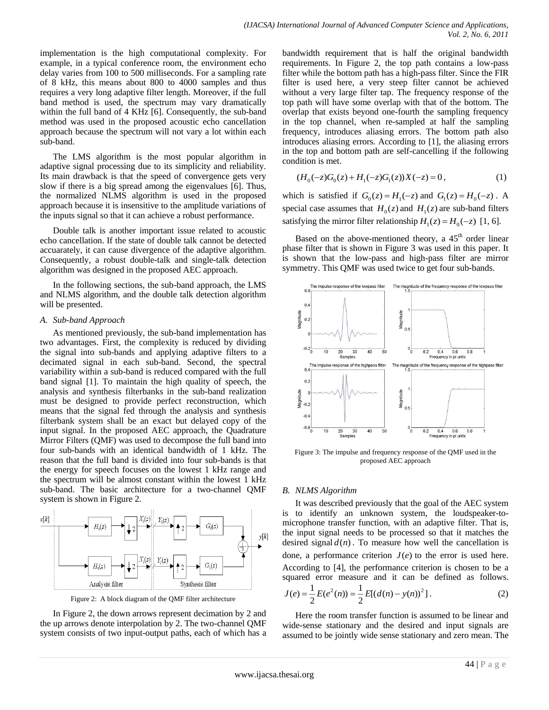implementation is the high computational complexity. For example, in a typical conference room, the environment echo delay varies from 100 to 500 milliseconds. For a sampling rate of 8 kHz, this means about 800 to 4000 samples and thus requires a very long adaptive filter length. Moreover, if the full band method is used, the spectrum may vary dramatically within the full band of 4 KHz [6]. Consequently, the sub-band method was used in the proposed acoustic echo cancellation approach because the spectrum will not vary a lot within each sub-band.

The LMS algorithm is the most popular algorithm in adaptive signal processing due to its simplicity and reliability. Its main drawback is that the speed of convergence gets very slow if there is a big spread among the eigenvalues [6]. Thus, the normalized NLMS algorithm is used in the proposed approach because it is insensitive to the amplitude variations of the inputs signal so that it can achieve a robust performance.

Double talk is another important issue related to acoustic echo cancellation. If the state of double talk cannot be detected accuarately, it can cause divergence of the adaptive algorithm. Consequently, a robust double-talk and single-talk detection algorithm was designed in the proposed AEC approach.

In the following sections, the sub-band approach, the LMS and NLMS algorithm, and the double talk detection algorithm will be presented.

# *A. Sub-band Approach*

As mentioned previously, the sub-band implementation has two advantages. First, the complexity is reduced by dividing the signal into sub-bands and applying adaptive filters to a decimated signal in each sub-band. Second, the spectral variability within a sub-band is reduced compared with the full band signal [1]. To maintain the high quality of speech, the analysis and synthesis filterbanks in the sub-band realization must be designed to provide perfect reconstruction, which means that the signal fed through the analysis and synthesis filterbank system shall be an exact but delayed copy of the input signal. In the proposed AEC approach, the Quadrature Mirror Filters (QMF) was used to decompose the full band into four sub-bands with an identical bandwidth of 1 kHz. The reason that the full band is divided into four sub-bands is that the energy for speech focuses on the lowest 1 kHz range and the spectrum will be almost constant within the lowest 1 kHz sub-band. The basic architecture for a two-channel QMF system is shown in Figure 2.



Figure 2: A block diagram of the QMF filter architecture

In Figure 2, the down arrows represent decimation by 2 and the up arrows denote interpolation by 2. The two-channel QMF system consists of two input-output paths, each of which has a bandwidth requirement that is half the original bandwidth requirements. In Figure 2, the top path contains a low-pass filter while the bottom path has a high-pass filter. Since the FIR filter is used here, a very steep filter cannot be achieved without a very large filter tap. The frequency response of the top path will have some overlap with that of the bottom. The overlap that exists beyond one-fourth the sampling frequency in the top channel, when re-sampled at half the sampling frequency, introduces aliasing errors. The bottom path also introduces aliasing errors. According to [1], the aliasing errors in the top and bottom path are self-cancelling if the following condition is met.

$$
(H_0(-z)G_0(z) + H_1(-z)G_1(z))X(-z) = 0,
$$
\n(1)

which is satisfied if  $G_0(z) = H_1(-z)$  and  $G_1(z) = H_0(-z)$ . A special case assumes that  $H_0(z)$  and  $H_1(z)$  are sub-band filters satisfying the mirror filter relationship  $H_1(z) = H_0(-z)$  [1, 6].

Based on the above-mentioned theory, a 45<sup>th</sup> order linear phase filter that is shown in Figure 3 was used in this paper. It is shown that the low-pass and high-pass filter are mirror symmetry. This QMF was used twice to get four sub-bands.



Figure 3: The impulse and frequency response of the QMF used in the proposed AEC approach

# *B. NLMS Algorithm*

It was described previously that the goal of the AEC system is to identify an unknown system, the loudspeaker-tomicrophone transfer function, with an adaptive filter. That is, the input signal needs to be processed so that it matches the desired signal  $d(n)$ . To measure how well the cancellation is done, a performance criterion  $J(e)$  to the error is used here. According to [4], the performance criterion is chosen to be a squared error measure and it can be defined as follows.  $\frac{1}{2}E[(d(n)-y(n))^2]$  $\frac{1}{2}E(e^2(n))=\frac{1}{2}$  $J(e) = \frac{1}{2} E(e^2(n)) = \frac{1}{2} E[(d(n) - y(n))^2].$  (2)

Here the room transfer function is assumed to be linear and wide-sense stationary and the desired and input signals are assumed to be jointly wide sense stationary and zero mean. The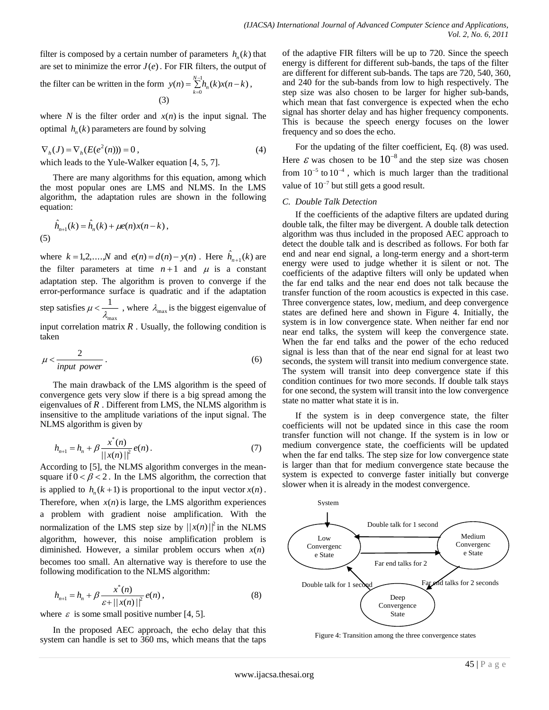filter is composed by a certain number of parameters  $h_n(k)$  that are set to minimize the error  $J(e)$ . For FIR filters, the output of

the filter can be written in the form  $y(n) = \sum_{n=1}^{N-1} h_n(k)x(n-k)$  $y(n) = \sum_{k=0}^{N-1} h_n(k)x(n-k)$  $=\sum_{k=0}^{N-1} h_n(k)x(n \sum_{n=0}^{\infty} h_n(k)x(n-k),$ (3)

where  $N$  is the filter order and  $x(n)$  is the input signal. The optimal  $h_n(k)$  parameters are found by solving

$$
\nabla_h(J) = \nabla_h(E(e^2(n))) = 0, \qquad (4)
$$

which leads to the Yule-Walker equation [4, 5, 7].

There are many algorithms for this equation, among which the most popular ones are LMS and NLMS. In the LMS algorithm, the adaptation rules are shown in the following equation:

$$
\hat{h}_{n+1}(k) = \hat{h}_n(k) + \mu e(n)x(n-k),
$$
\n(5)

where  $k = 1, 2, ..., N$  and  $e(n) = d(n) - y(n)$ . Here  $\hat{h}_{n+1}(k)$  are the filter parameters at time  $n+1$  and  $\mu$  is a constant adaptation step. The algorithm is proven to converge if the error-performance surface is quadratic and if the adaptation step satisfies max 1  $\mu < \frac{1}{\lambda_{\text{max}}}$ , where  $\lambda_{\text{max}}$  is the biggest eigenvalue of input correlation matrix  $R$ . Usually, the following condition is taken

$$
\mu < \frac{2}{input\ power} \tag{6}
$$

The main drawback of the LMS algorithm is the speed of convergence gets very slow if there is a big spread among the eigenvalues of *<sup>R</sup>* . Different from LMS, the NLMS algorithm is insensitive to the amplitude variations of the input signal. The NLMS algorithm is given by

$$
h_{n+1} = h_n + \beta \frac{x^*(n)}{||x(n)||^2} e(n).
$$
 (7)

According to [5], the NLMS algorithm converges in the meansquare if  $0 < \beta < 2$ . In the LMS algorithm, the correction that is applied to  $h_n(k+1)$  is proportional to the input vector  $x(n)$ . Therefore, when  $x(n)$  is large, the LMS algorithm experiences a problem with gradient noise amplification. With the normalization of the LMS step size by  $||x(n)||^2$  in the NLMS algorithm, however, this noise amplification problem is diminished. However, a similar problem occurs when *<sup>x</sup>*(*n*) becomes too small. An alternative way is therefore to use the following modification to the NLMS algorithm:

$$
h_{n+1} = h_n + \beta \frac{x^*(n)}{\varepsilon + ||x(n)||^2} e(n), \qquad (8)
$$

where  $\varepsilon$  is some small positive number [4, 5].

In the proposed AEC approach, the echo delay that this system can handle is set to 360 ms, which means that the taps of the adaptive FIR filters will be up to 720. Since the speech energy is different for different sub-bands, the taps of the filter are different for different sub-bands. The taps are 720, 540, 360, and 240 for the sub-bands from low to high respectively. The step size was also chosen to be larger for higher sub-bands, which mean that fast convergence is expected when the echo signal has shorter delay and has higher frequency components. This is because the speech energy focuses on the lower frequency and so does the echo.

For the updating of the filter coefficient, Eq. (8) was used. Here  $\varepsilon$  was chosen to be  $10^{-8}$  and the step size was chosen from  $10^{-5}$  to  $10^{-4}$ , which is much larger than the traditional value of  $10^{-7}$  but still gets a good result.

# *C. Double Talk Detection*

If the coefficients of the adaptive filters are updated during double talk, the filter may be divergent. A double talk detection algorithm was thus included in the proposed AEC approach to detect the double talk and is described as follows. For both far end and near end signal, a long-term energy and a short-term energy were used to judge whether it is silent or not. The coefficients of the adaptive filters will only be updated when the far end talks and the near end does not talk because the transfer function of the room acoustics is expected in this case. Three convergence states, low, medium, and deep convergence states are defined here and shown in Figure 4. Initially, the system is in low convergence state. When neither far end nor near end talks, the system will keep the convergence state. When the far end talks and the power of the echo reduced signal is less than that of the near end signal for at least two seconds, the system will transit into medium convergence state. The system will transit into deep convergence state if this condition continues for two more seconds. If double talk stays for one second, the system will transit into the low convergence state no matter what state it is in.

If the system is in deep convergence state, the filter coefficients will not be updated since in this case the room transfer function will not change. If the system is in low or medium convergence state, the coefficients will be updated when the far end talks. The step size for low convergence state is larger than that for medium convergence state because the system is expected to converge faster initially but converge slower when it is already in the modest convergence.



Figure 4: Transition among the three convergence states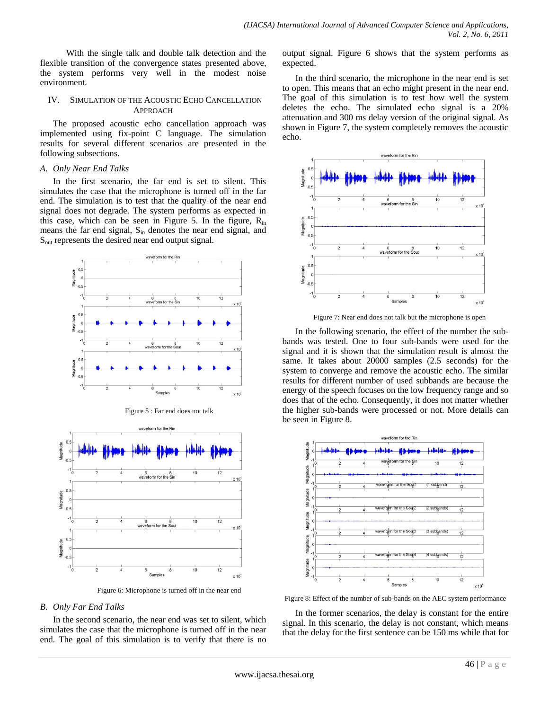With the single talk and double talk detection and the flexible transition of the convergence states presented above, the system performs very well in the modest noise environment.

# IV. SIMULATION OF THE ACOUSTIC ECHO CANCELLATION APPROACH

The proposed acoustic echo cancellation approach was implemented using fix-point C language. The simulation results for several different scenarios are presented in the following subsections.

#### *A. Only Near End Talks*

In the first scenario, the far end is set to silent. This simulates the case that the microphone is turned off in the far end. The simulation is to test that the quality of the near end signal does not degrade. The system performs as expected in this case, which can be seen in Figure 5. In the figure,  $R_{in}$ means the far end signal,  $S_{in}$  denotes the near end signal, and S<sub>out</sub> represents the desired near end output signal.





Figure 6: Microphone is turned off in the near end

# *B. Only Far End Talks*

In the second scenario, the near end was set to silent, which simulates the case that the microphone is turned off in the near end. The goal of this simulation is to verify that there is no output signal. Figure 6 shows that the system performs as expected.

In the third scenario, the microphone in the near end is set to open. This means that an echo might present in the near end. The goal of this simulation is to test how well the system deletes the echo. The simulated echo signal is a 20% attenuation and 300 ms delay version of the original signal. As shown in Figure 7, the system completely removes the acoustic echo.



Figure 7: Near end does not talk but the microphone is open

In the following scenario, the effect of the number the subbands was tested. One to four sub-bands were used for the signal and it is shown that the simulation result is almost the same. It takes about 20000 samples (2.5 seconds) for the system to converge and remove the acoustic echo. The similar results for different number of used subbands are because the energy of the speech focuses on the low frequency range and so does that of the echo. Consequently, it does not matter whether the higher sub-bands were processed or not. More details can be seen in Figure 8.



Figure 8: Effect of the number of sub-bands on the AEC system performance

In the former scenarios, the delay is constant for the entire signal. In this scenario, the delay is not constant, which means that the delay for the first sentence can be 150 ms while that for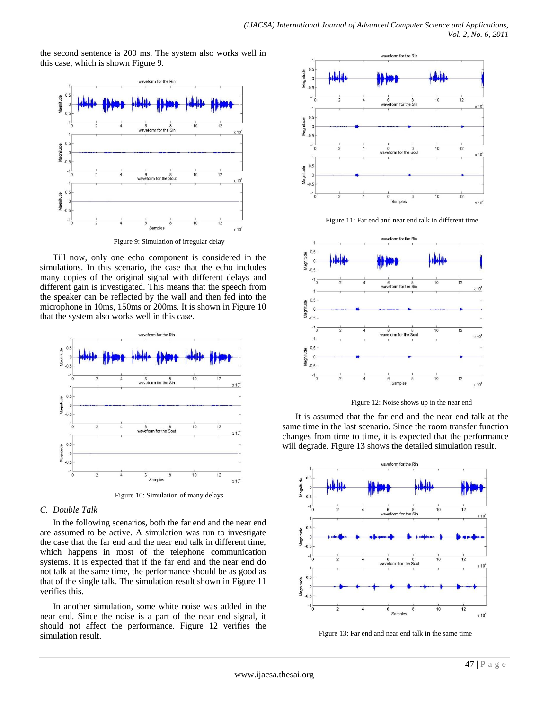the second sentence is 200 ms. The system also works well in this case, which is shown Figure 9.



Figure 9: Simulation of irregular delay

Till now, only one echo component is considered in the simulations. In this scenario, the case that the echo includes many copies of the original signal with different delays and different gain is investigated. This means that the speech from the speaker can be reflected by the wall and then fed into the microphone in 10ms, 150ms or 200ms. It is shown in Figure 10 that the system also works well in this case.



Figure 10: Simulation of many delays

#### *C. Double Talk*

In the following scenarios, both the far end and the near end are assumed to be active. A simulation was run to investigate the case that the far end and the near end talk in different time, which happens in most of the telephone communication systems. It is expected that if the far end and the near end do not talk at the same time, the performance should be as good as that of the single talk. The simulation result shown in Figure 11 verifies this.

In another simulation, some white noise was added in the near end. Since the noise is a part of the near end signal, it should not affect the performance. Figure 12 verifies the simulation result.



Figure 11: Far end and near end talk in different time



Figure 12: Noise shows up in the near end

It is assumed that the far end and the near end talk at the same time in the last scenario. Since the room transfer function changes from time to time, it is expected that the performance will degrade. Figure 13 shows the detailed simulation result.



Figure 13: Far end and near end talk in the same time